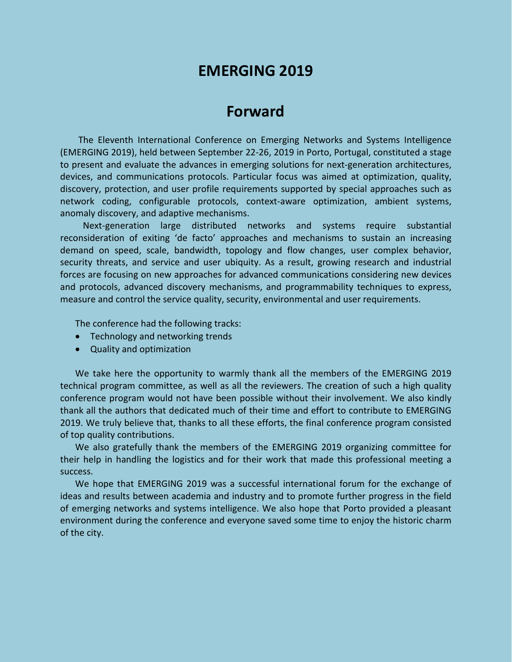# **EMERGING 2019**

## **Forward**

The Eleventh International Conference on Emerging Networks and Systems Intelligence (EMERGING 2019), held between September 22-26, 2019 in Porto, Portugal, constituted a stage to present and evaluate the advances in emerging solutions for next-generation architectures, devices, and communications protocols. Particular focus was aimed at optimization, quality, discovery, protection, and user profile requirements supported by special approaches such as network coding, configurable protocols, context-aware optimization, ambient systems, anomaly discovery, and adaptive mechanisms.

Next-generation large distributed networks and systems require substantial reconsideration of exiting 'de facto' approaches and mechanisms to sustain an increasing demand on speed, scale, bandwidth, topology and flow changes, user complex behavior, security threats, and service and user ubiquity. As a result, growing research and industrial forces are focusing on new approaches for advanced communications considering new devices and protocols, advanced discovery mechanisms, and programmability techniques to express, measure and control the service quality, security, environmental and user requirements.

The conference had the following tracks:

- Technology and networking trends
- Quality and optimization

We take here the opportunity to warmly thank all the members of the EMERGING 2019 technical program committee, as well as all the reviewers. The creation of such a high quality conference program would not have been possible without their involvement. We also kindly thank all the authors that dedicated much of their time and effort to contribute to EMERGING 2019. We truly believe that, thanks to all these efforts, the final conference program consisted of top quality contributions.

We also gratefully thank the members of the EMERGING 2019 organizing committee for their help in handling the logistics and for their work that made this professional meeting a success.

We hope that EMERGING 2019 was a successful international forum for the exchange of ideas and results between academia and industry and to promote further progress in the field of emerging networks and systems intelligence. We also hope that Porto provided a pleasant environment during the conference and everyone saved some time to enjoy the historic charm of the city.